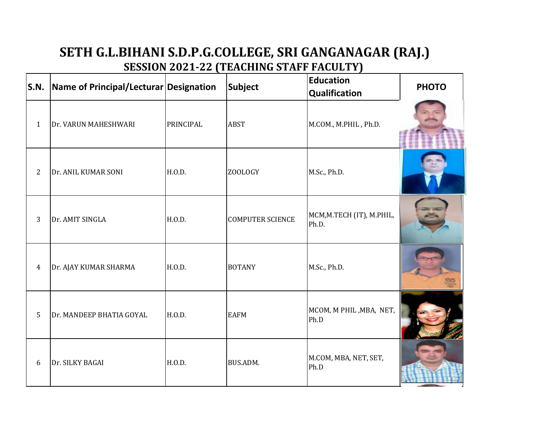## **SETH G.L.BIHANI S.D.P.G.COLLEGE, SRI GANGANAGAR (RAJ.) SESSION 2021-22 (TEACHING STAFF FACULTY)**

| S.N.           | Name of Principal/Lecturar Designation |           | Subject                 | <b>Education</b><br><b>Qualification</b> | <b>PHOTO</b> |
|----------------|----------------------------------------|-----------|-------------------------|------------------------------------------|--------------|
| $\mathbf{1}$   | Dr. VARUN MAHESHWARI                   | PRINCIPAL | <b>ABST</b>             | M.COM., M.PHIL, Ph.D.                    |              |
| $\overline{2}$ | Dr. ANIL KUMAR SONI                    | H.O.D.    | ZOOLOGY                 | M.Sc., Ph.D.                             |              |
| 3              | Dr. AMIT SINGLA                        | H.O.D.    | <b>COMPUTER SCIENCE</b> | MCM, M.TECH (IT), M.PHIL,<br>Ph.D.       |              |
| $\overline{4}$ | Dr. AJAY KUMAR SHARMA                  | H.O.D.    | <b>BOTANY</b>           | M.Sc., Ph.D.                             |              |
| 5              | Dr. MANDEEP BHATIA GOYAL               | H.O.D.    | <b>EAFM</b>             | MCOM, M PHIL, MBA, NET,<br>Ph.D          |              |
| 6              | Dr. SILKY BAGAI                        | H.O.D.    | BUS.ADM.                | M.COM, MBA, NET, SET,<br>Ph.D            |              |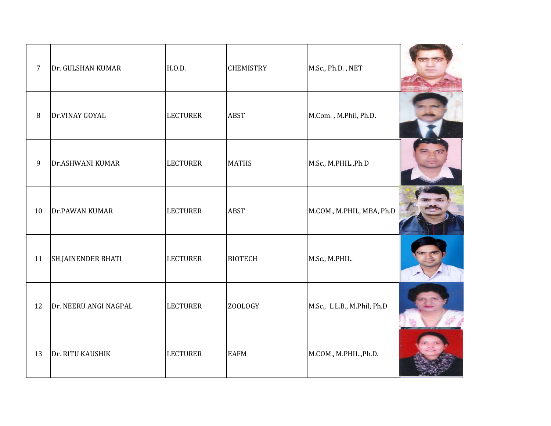| $\overline{7}$ | Dr. GULSHAN KUMAR         | H.0.D.          | <b>CHEMISTRY</b> | M.Sc., Ph.D., NET           |  |
|----------------|---------------------------|-----------------|------------------|-----------------------------|--|
| 8              | Dr.VINAY GOYAL            | <b>LECTURER</b> | <b>ABST</b>      | M.Com., M.Phil, Ph.D.       |  |
| $\overline{9}$ | Dr.ASHWANI KUMAR          | <b>LECTURER</b> | <b>MATHS</b>     | M.Sc., M.PHIL., Ph.D        |  |
| 10             | Dr.PAWAN KUMAR            | <b>LECTURER</b> | <b>ABST</b>      | M.COM., M.PHIL, MBA, Ph.D   |  |
| 11             | <b>SH.JAINENDER BHATI</b> | <b>LECTURER</b> | <b>BIOTECH</b>   | M.Sc., M.PHIL.              |  |
| 12             | Dr. NEERU ANGI NAGPAL     | <b>LECTURER</b> | ZOOLOGY          | M.Sc., L.L.B., M.Phil, Ph.D |  |
| 13             | Dr. RITU KAUSHIK          | <b>LECTURER</b> | <b>EAFM</b>      | M.COM., M.PHIL., Ph.D.      |  |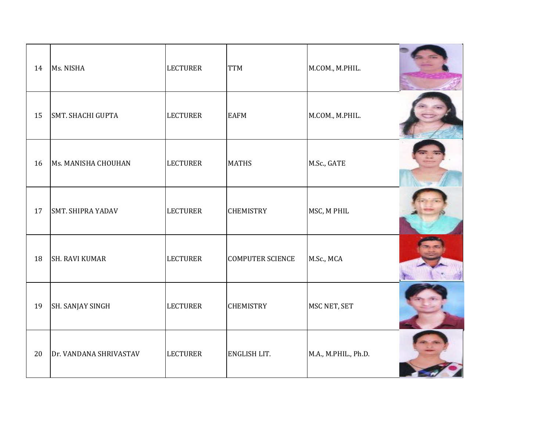| 14 | Ms. NISHA                | <b>LECTURER</b> | <b>TTM</b>              | M.COM., M.PHIL.      |  |
|----|--------------------------|-----------------|-------------------------|----------------------|--|
| 15 | <b>SMT. SHACHI GUPTA</b> | <b>LECTURER</b> | <b>EAFM</b>             | M.COM., M.PHIL.      |  |
| 16 | Ms. MANISHA CHOUHAN      | <b>LECTURER</b> | <b>MATHS</b>            | M.Sc., GATE          |  |
| 17 | <b>SMT. SHIPRA YADAV</b> | <b>LECTURER</b> | <b>CHEMISTRY</b>        | MSC, M PHIL          |  |
| 18 | <b>SH. RAVI KUMAR</b>    | <b>LECTURER</b> | <b>COMPUTER SCIENCE</b> | M.Sc., MCA           |  |
| 19 | SH. SANJAY SINGH         | <b>LECTURER</b> | <b>CHEMISTRY</b>        | MSC NET, SET         |  |
| 20 | Dr. VANDANA SHRIVASTAV   | <b>LECTURER</b> | ENGLISH LIT.            | M.A., M.PHIL., Ph.D. |  |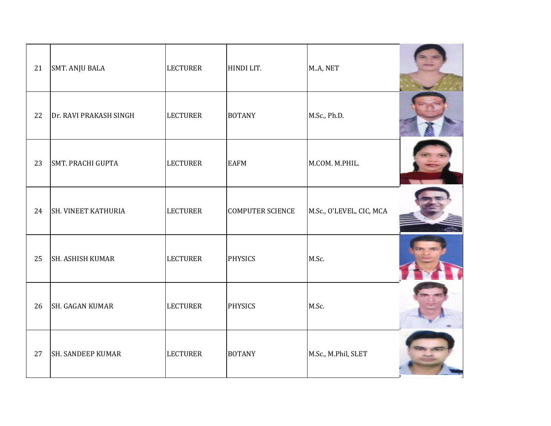| 21 | <b>SMT. ANJU BALA</b>      | <b>LECTURER</b> | HINDI LIT.              | M.A, NET                 |  |
|----|----------------------------|-----------------|-------------------------|--------------------------|--|
| 22 | Dr. RAVI PRAKASH SINGH     | <b>LECTURER</b> | <b>BOTANY</b>           | M.Sc., Ph.D.             |  |
| 23 | <b>SMT. PRACHI GUPTA</b>   | <b>LECTURER</b> | <b>EAFM</b>             | M.COM. M.PHIL.           |  |
| 24 | <b>SH. VINEET KATHURIA</b> | <b>LECTURER</b> | <b>COMPUTER SCIENCE</b> | M.Sc., O'LEVEL, CIC, MCA |  |
| 25 | <b>SH. ASHISH KUMAR</b>    | <b>LECTURER</b> | <b>PHYSICS</b>          | M.Sc.                    |  |
| 26 | <b>SH. GAGAN KUMAR</b>     | <b>LECTURER</b> | <b>PHYSICS</b>          | M.Sc.                    |  |
| 27 | <b>SH. SANDEEP KUMAR</b>   | <b>LECTURER</b> | <b>BOTANY</b>           | M.Sc., M.Phil, SLET      |  |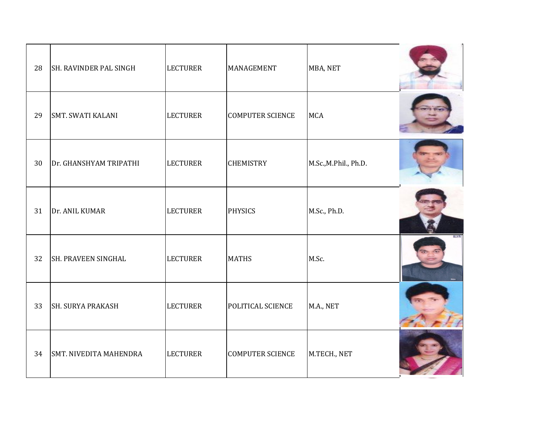| 28 | SH. RAVINDER PAL SINGH        | <b>LECTURER</b> | MANAGEMENT              | MBA, NET             |  |
|----|-------------------------------|-----------------|-------------------------|----------------------|--|
| 29 | SMT. SWATI KALANI             | <b>LECTURER</b> | <b>COMPUTER SCIENCE</b> | <b>MCA</b>           |  |
| 30 | Dr. GHANSHYAM TRIPATHI        | <b>LECTURER</b> | <b>CHEMISTRY</b>        | M.Sc.,M.Phil., Ph.D. |  |
| 31 | Dr. ANIL KUMAR                | <b>LECTURER</b> | <b>PHYSICS</b>          | M.Sc., Ph.D.         |  |
| 32 | <b>SH. PRAVEEN SINGHAL</b>    | <b>LECTURER</b> | <b>MATHS</b>            | M.Sc.                |  |
| 33 | <b>SH. SURYA PRAKASH</b>      | <b>LECTURER</b> | POLITICAL SCIENCE       | M.A., NET            |  |
| 34 | <b>SMT. NIVEDITA MAHENDRA</b> | <b>LECTURER</b> | <b>COMPUTER SCIENCE</b> | M.TECH., NET         |  |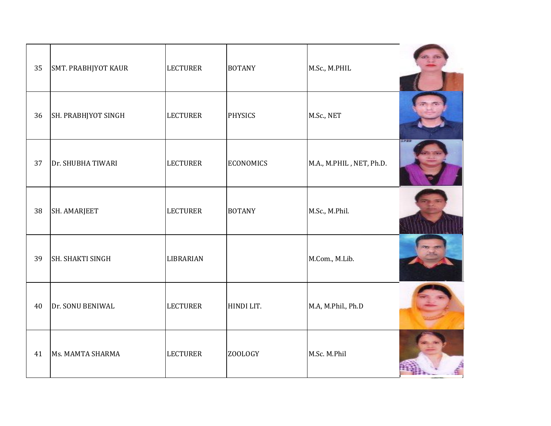| 35 | SMT. PRABHJYOT KAUR | <b>LECTURER</b> | <b>BOTANY</b>    | M.Sc., M.PHIL            |        |
|----|---------------------|-----------------|------------------|--------------------------|--------|
| 36 | SH. PRABHJYOT SINGH | <b>LECTURER</b> | <b>PHYSICS</b>   | M.Sc., NET               |        |
| 37 | Dr. SHUBHA TIWARI   | <b>LECTURER</b> | <b>ECONOMICS</b> | M.A., M.PHIL, NET, Ph.D. | 31 J J |
| 38 | SH. AMARJEET        | <b>LECTURER</b> | <b>BOTANY</b>    | M.Sc., M.Phil.           |        |
| 39 | SH. SHAKTI SINGH    | LIBRARIAN       |                  | M.Com., M.Lib.           |        |
| 40 | Dr. SONU BENIWAL    | <b>LECTURER</b> | HINDI LIT.       | M.A, M.Phil., Ph.D       |        |
| 41 | Ms. MAMTA SHARMA    | <b>LECTURER</b> | <b>ZOOLOGY</b>   | M.Sc. M.Phil             |        |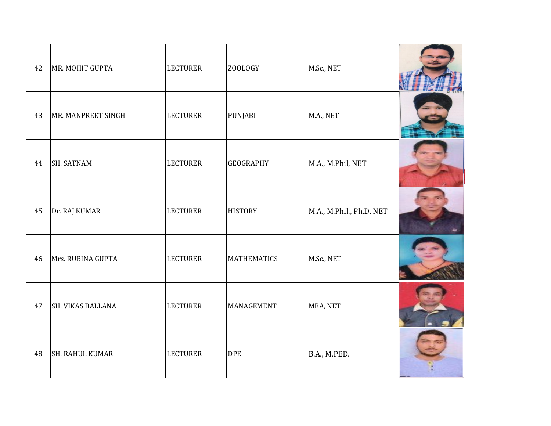| 42 | MR. MOHIT GUPTA        | <b>LECTURER</b> | ZOOLOGY            | M.Sc., NET               |  |
|----|------------------------|-----------------|--------------------|--------------------------|--|
| 43 | MR. MANPREET SINGH     | <b>LECTURER</b> | <b>PUNJABI</b>     | M.A., NET                |  |
| 44 | <b>SH. SATNAM</b>      | <b>LECTURER</b> | <b>GEOGRAPHY</b>   | M.A., M.Phil, NET        |  |
| 45 | Dr. RAJ KUMAR          | <b>LECTURER</b> | <b>HISTORY</b>     | M.A., M.Phil., Ph.D, NET |  |
| 46 | Mrs. RUBINA GUPTA      | <b>LECTURER</b> | <b>MATHEMATICS</b> | M.Sc., NET               |  |
| 47 | SH. VIKAS BALLANA      | <b>LECTURER</b> | MANAGEMENT         | MBA, NET                 |  |
| 48 | <b>SH. RAHUL KUMAR</b> | <b>LECTURER</b> | <b>DPE</b>         | B.A., M.PED.             |  |